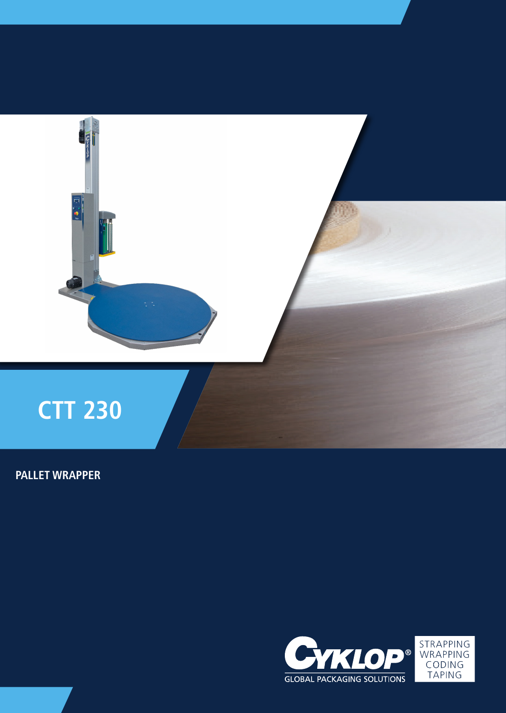

# **PALLET WRAPPER**